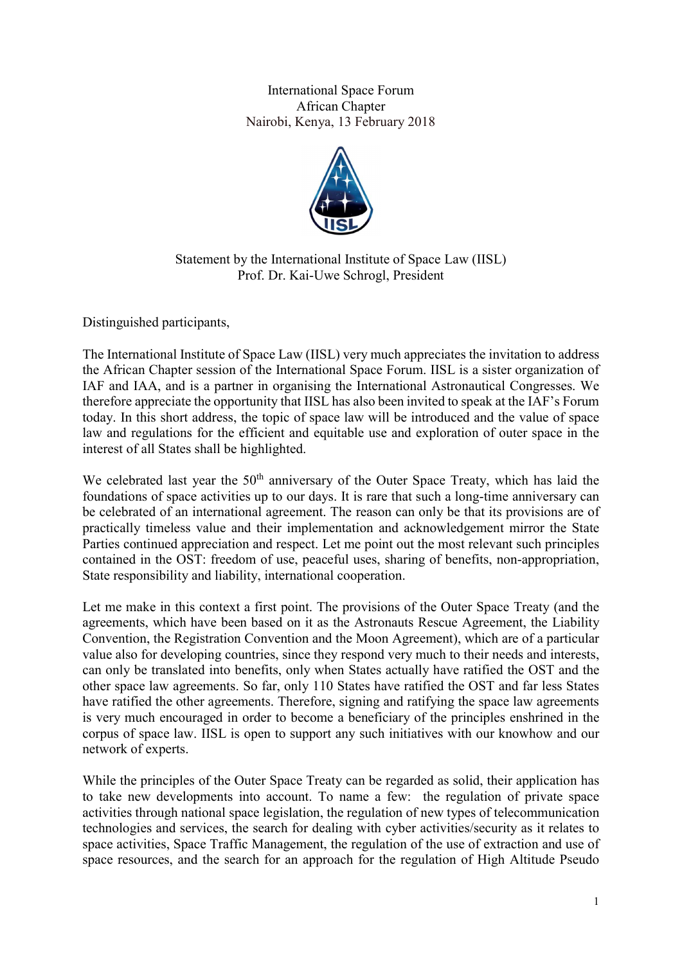International Space Forum African Chapter Nairobi, Kenya, 13 February 2018



Statement by the International Institute of Space Law (IISL) Prof. Dr. Kai-Uwe Schrogl, President

Distinguished participants,

The International Institute of Space Law (IISL) very much appreciates the invitation to address the African Chapter session of the International Space Forum. IISL is a sister organization of IAF and IAA, and is a partner in organising the International Astronautical Congresses. We therefore appreciate the opportunity that IISL has also been invited to speak at the IAF's Forum today. In this short address, the topic of space law will be introduced and the value of space law and regulations for the efficient and equitable use and exploration of outer space in the interest of all States shall be highlighted.

We celebrated last year the  $50<sup>th</sup>$  anniversary of the Outer Space Treaty, which has laid the foundations of space activities up to our days. It is rare that such a long-time anniversary can be celebrated of an international agreement. The reason can only be that its provisions are of practically timeless value and their implementation and acknowledgement mirror the State Parties continued appreciation and respect. Let me point out the most relevant such principles contained in the OST: freedom of use, peaceful uses, sharing of benefits, non-appropriation, State responsibility and liability, international cooperation.

Let me make in this context a first point. The provisions of the Outer Space Treaty (and the agreements, which have been based on it as the Astronauts Rescue Agreement, the Liability Convention, the Registration Convention and the Moon Agreement), which are of a particular value also for developing countries, since they respond very much to their needs and interests, can only be translated into benefits, only when States actually have ratified the OST and the other space law agreements. So far, only 110 States have ratified the OST and far less States have ratified the other agreements. Therefore, signing and ratifying the space law agreements is very much encouraged in order to become a beneficiary of the principles enshrined in the corpus of space law. IISL is open to support any such initiatives with our knowhow and our network of experts.

While the principles of the Outer Space Treaty can be regarded as solid, their application has to take new developments into account. To name a few: the regulation of private space activities through national space legislation, the regulation of new types of telecommunication technologies and services, the search for dealing with cyber activities/security as it relates to space activities, Space Traffic Management, the regulation of the use of extraction and use of space resources, and the search for an approach for the regulation of High Altitude Pseudo